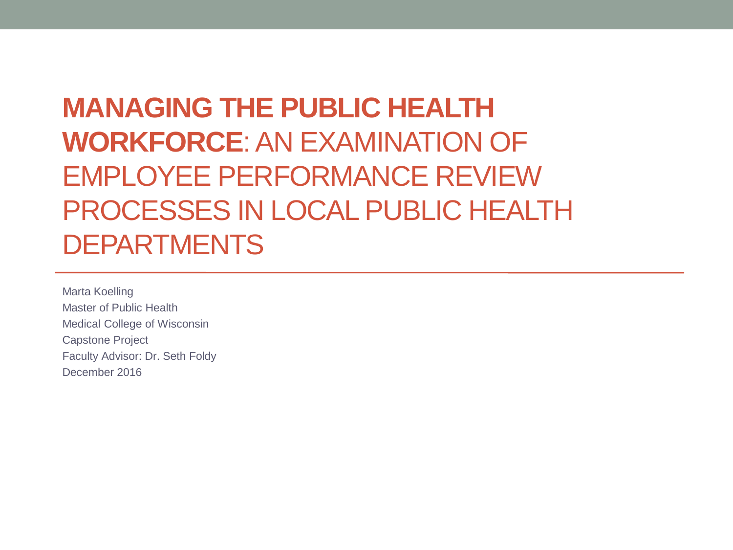**MANAGING THE PUBLIC HEALTH WORKFORCE**: AN EXAMINATION OF EMPLOYEE PERFORMANCE REVIEW PROCESSES IN LOCAL PUBLIC HEALTH DEPARTMENTS

Marta Koelling Master of Public Health Medical College of Wisconsin Capstone Project Faculty Advisor: Dr. Seth Foldy December 2016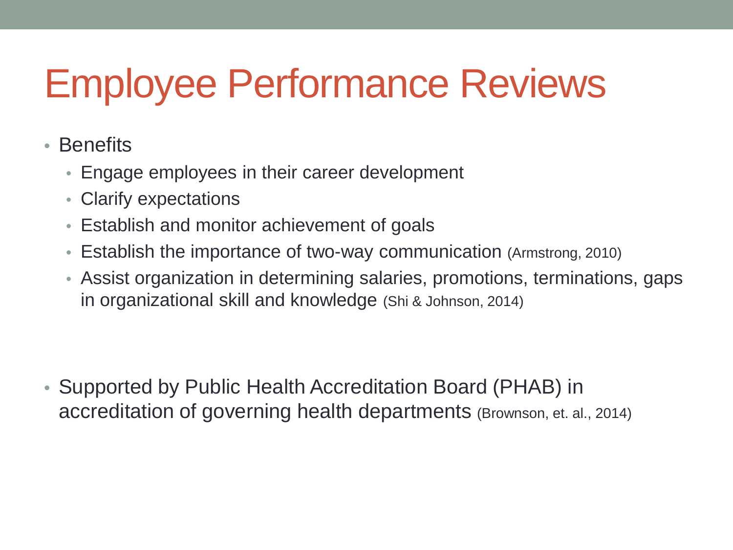# Employee Performance Reviews

- Benefits
	- Engage employees in their career development
	- Clarify expectations
	- Establish and monitor achievement of goals
	- Establish the importance of two-way communication (Armstrong, 2010)
	- Assist organization in determining salaries, promotions, terminations, gaps in organizational skill and knowledge (Shi & Johnson, 2014)

• Supported by Public Health Accreditation Board (PHAB) in accreditation of governing health departments (Brownson, et. al., 2014)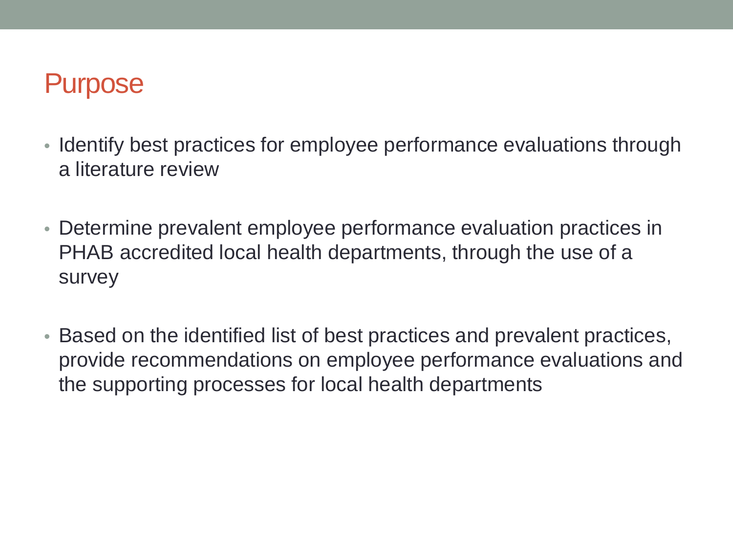## Purpose

- Identify best practices for employee performance evaluations through a literature review
- Determine prevalent employee performance evaluation practices in PHAB accredited local health departments, through the use of a survey
- Based on the identified list of best practices and prevalent practices, provide recommendations on employee performance evaluations and the supporting processes for local health departments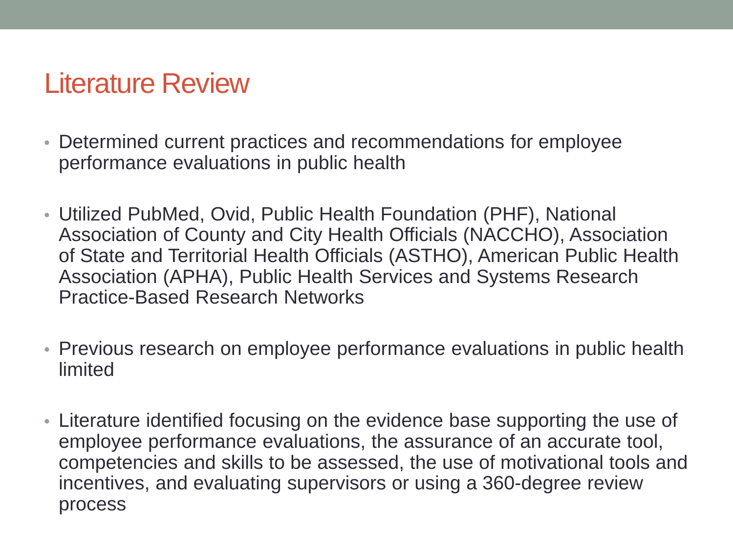- Determined current practices and recommendations for employee performance evaluations in public health
- Utilized PubMed, Ovid, Public Health Foundation (PHF), National Association of County and City Health Officials (NACCHO), Association of State and Territorial Health Officials (ASTHO), American Public Health Association (APHA), Public Health Services and Systems Research Practice-Based Research Networks
- Previous research on employee performance evaluations in public health limited
- Literature identified focusing on the evidence base supporting the use of employee performance evaluations, the assurance of an accurate tool, competencies and skills to be assessed, the use of motivational tools and incentives, and evaluating supervisors or using a 360-degree review process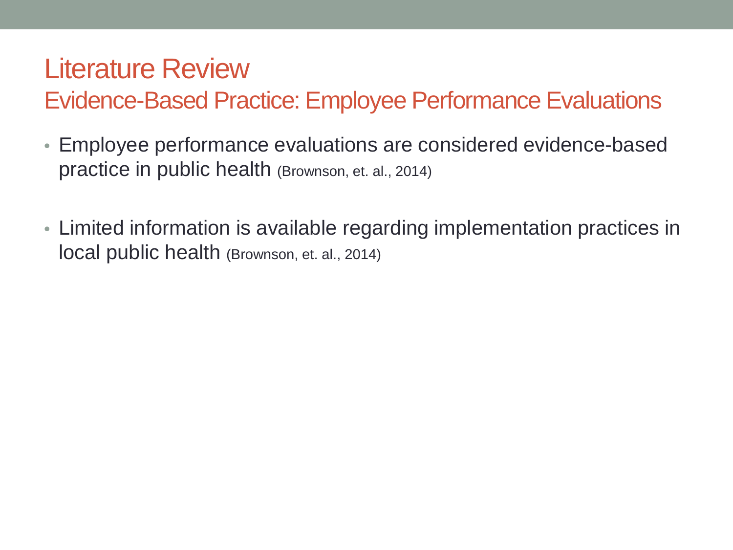Evidence-Based Practice: Employee Performance Evaluations

- Employee performance evaluations are considered evidence-based practice in public health (Brownson, et. al., 2014)
- Limited information is available regarding implementation practices in local public health (Brownson, et. al., 2014)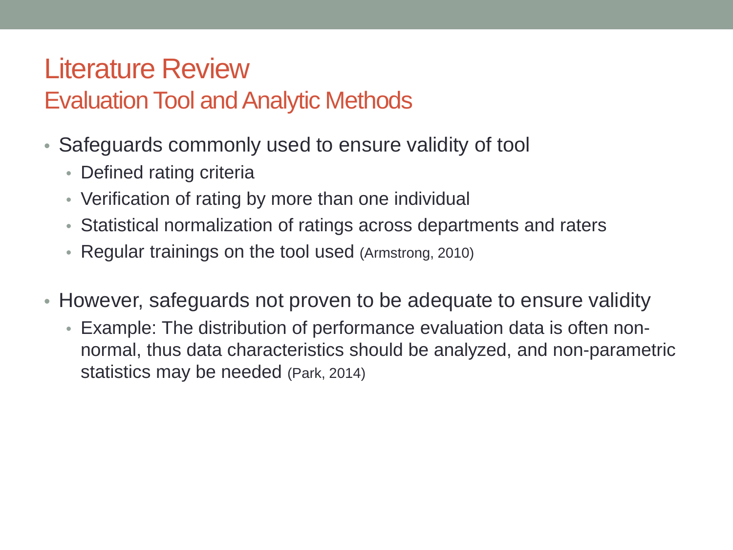#### Evaluation Tool and Analytic Methods

- Safeguards commonly used to ensure validity of tool
	- Defined rating criteria
	- Verification of rating by more than one individual
	- Statistical normalization of ratings across departments and raters
	- Regular trainings on the tool used (Armstrong, 2010)
- However, safeguards not proven to be adequate to ensure validity
	- Example: The distribution of performance evaluation data is often nonnormal, thus data characteristics should be analyzed, and non-parametric statistics may be needed (Park, 2014)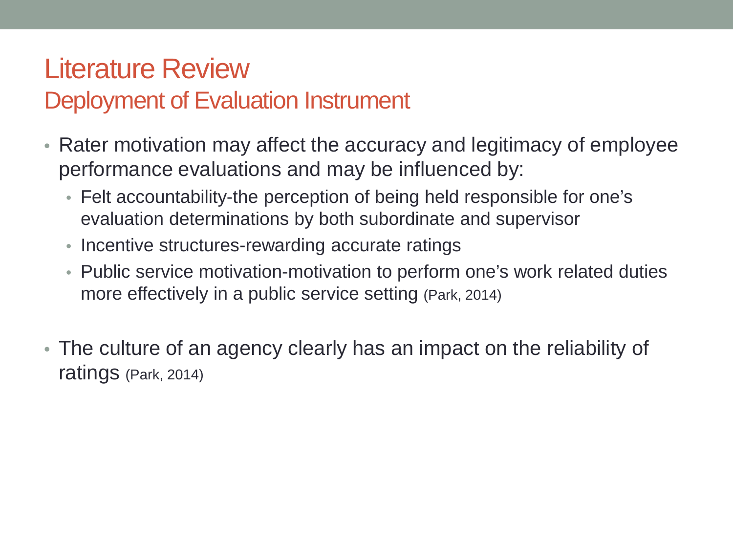#### Deployment of Evaluation Instrument

- Rater motivation may affect the accuracy and legitimacy of employee performance evaluations and may be influenced by:
	- Felt accountability-the perception of being held responsible for one's evaluation determinations by both subordinate and supervisor
	- Incentive structures-rewarding accurate ratings
	- Public service motivation-motivation to perform one's work related duties more effectively in a public service setting (Park, 2014)
- The culture of an agency clearly has an impact on the reliability of ratings (Park, 2014)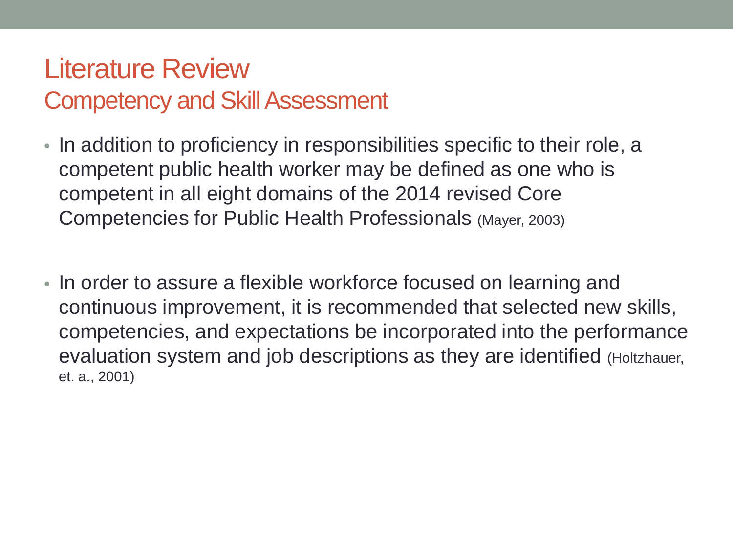#### Literature Review Competency and Skill Assessment

- In addition to proficiency in responsibilities specific to their role, a competent public health worker may be defined as one who is competent in all eight domains of the 2014 revised Core Competencies for Public Health Professionals (Mayer, 2003)
- In order to assure a flexible workforce focused on learning and continuous improvement, it is recommended that selected new skills, competencies, and expectations be incorporated into the performance evaluation system and job descriptions as they are identified (Holtzhauer, et. a., 2001)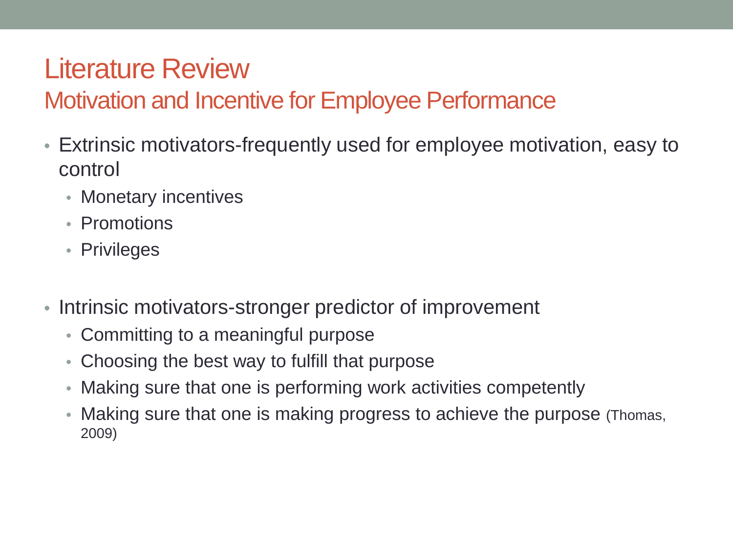#### Motivation and Incentive for Employee Performance

- Extrinsic motivators-frequently used for employee motivation, easy to control
	- Monetary incentives
	- Promotions
	- Privileges
- Intrinsic motivators-stronger predictor of improvement
	- Committing to a meaningful purpose
	- Choosing the best way to fulfill that purpose
	- Making sure that one is performing work activities competently
	- Making sure that one is making progress to achieve the purpose (Thomas, 2009)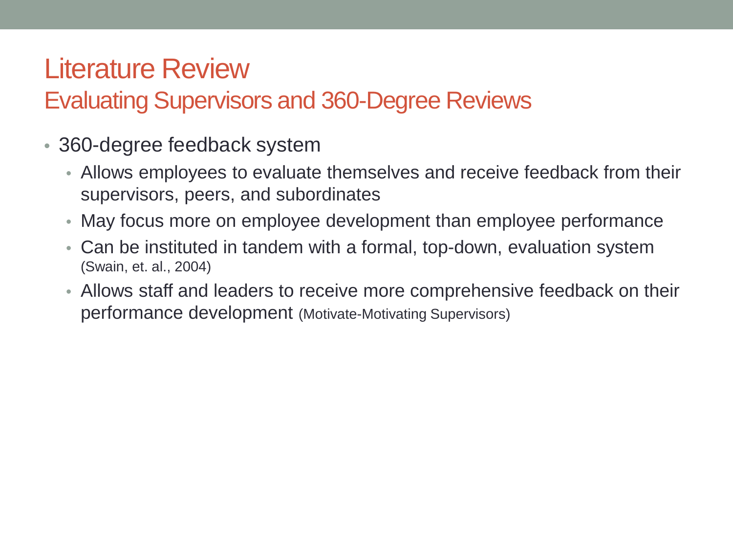#### Evaluating Supervisors and 360-Degree Reviews

- 360-degree feedback system
	- Allows employees to evaluate themselves and receive feedback from their supervisors, peers, and subordinates
	- May focus more on employee development than employee performance
	- Can be instituted in tandem with a formal, top-down, evaluation system (Swain, et. al., 2004)
	- Allows staff and leaders to receive more comprehensive feedback on their performance development (Motivate-Motivating Supervisors)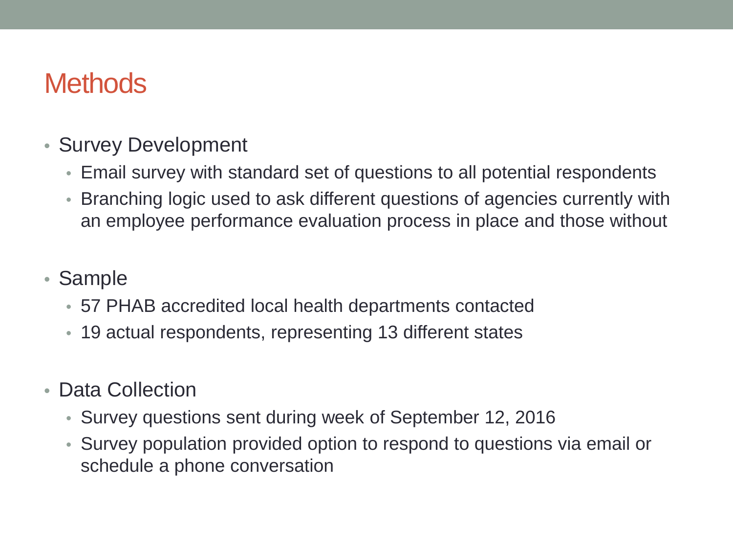#### **Methods**

- Survey Development
	- Email survey with standard set of questions to all potential respondents
	- Branching logic used to ask different questions of agencies currently with an employee performance evaluation process in place and those without
- Sample
	- 57 PHAB accredited local health departments contacted
	- 19 actual respondents, representing 13 different states
- Data Collection
	- Survey questions sent during week of September 12, 2016
	- Survey population provided option to respond to questions via email or schedule a phone conversation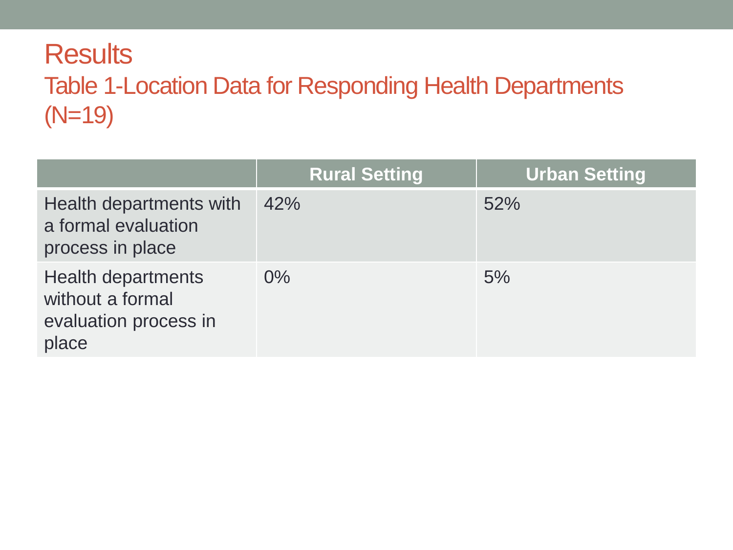### **Results** Table 1-Location Data for Responding Health Departments (N=19)

|                                                                                 | <b>Rural Setting</b> | <b>Urban Setting</b> |
|---------------------------------------------------------------------------------|----------------------|----------------------|
| Health departments with<br>a formal evaluation<br>process in place              | 42%                  | 52%                  |
| <b>Health departments</b><br>without a formal<br>evaluation process in<br>place | $0\%$                | 5%                   |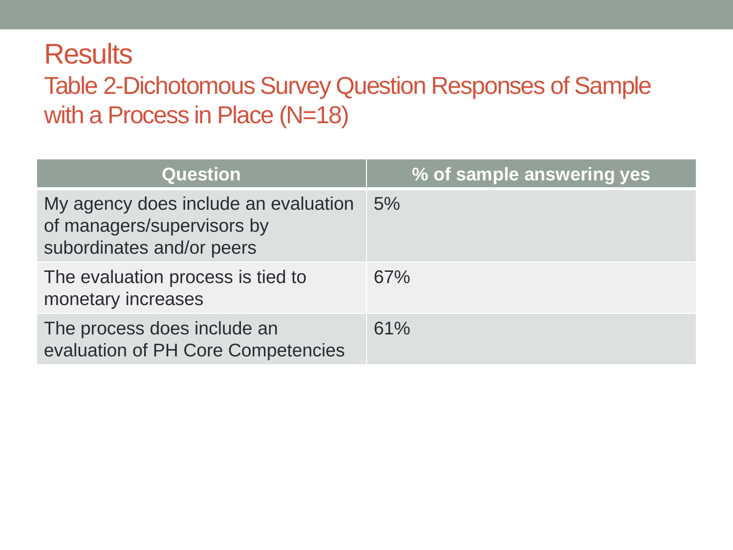#### **Results** Table 2-Dichotomous Survey Question Responses of Sample with a Process in Place (N=18)

| <b>Question</b>                                                                                 | % of sample answering yes |
|-------------------------------------------------------------------------------------------------|---------------------------|
| My agency does include an evaluation<br>of managers/supervisors by<br>subordinates and/or peers | 5%                        |
| The evaluation process is tied to<br>monetary increases                                         | 67%                       |
| The process does include an<br>evaluation of PH Core Competencies                               | 61%                       |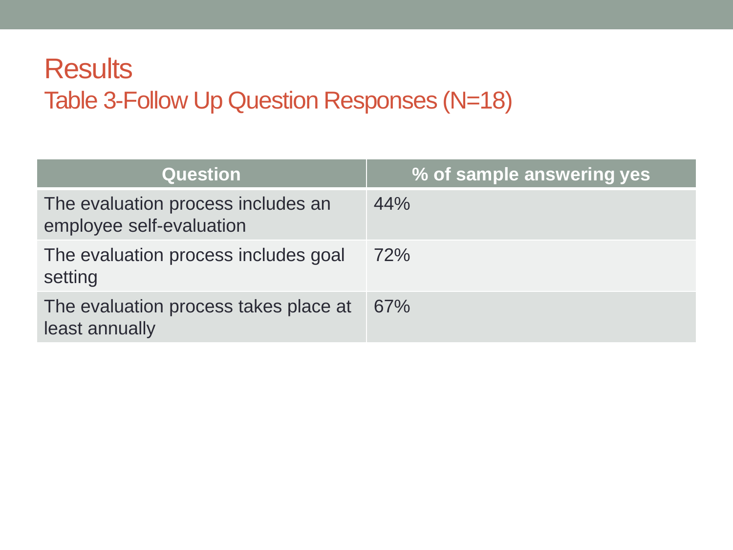#### **Results** Table 3-Follow Up Question Responses (N=18)

| <b>Question</b>                                                | % of sample answering yes |
|----------------------------------------------------------------|---------------------------|
| The evaluation process includes an<br>employee self-evaluation | 44%                       |
| The evaluation process includes goal<br>setting                | <b>72%</b>                |
| The evaluation process takes place at<br>least annually        | 67%                       |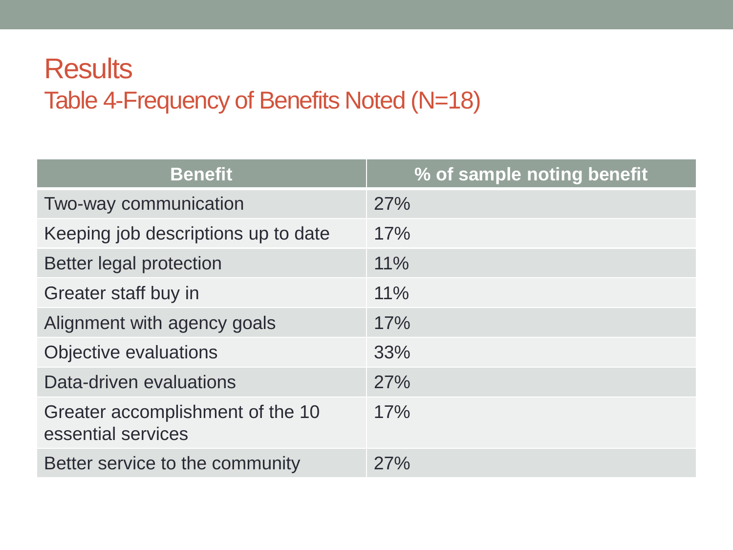#### **Results** Table 4-Frequency of Benefits Noted (N=18)

| <b>Benefit</b>                                         | % of sample noting benefit |
|--------------------------------------------------------|----------------------------|
| Two-way communication                                  | 27%                        |
| Keeping job descriptions up to date                    | 17%                        |
| Better legal protection                                | 11%                        |
| Greater staff buy in                                   | 11%                        |
| Alignment with agency goals                            | 17%                        |
| Objective evaluations                                  | 33%                        |
| Data-driven evaluations                                | 27%                        |
| Greater accomplishment of the 10<br>essential services | 17%                        |
| Better service to the community                        | 27%                        |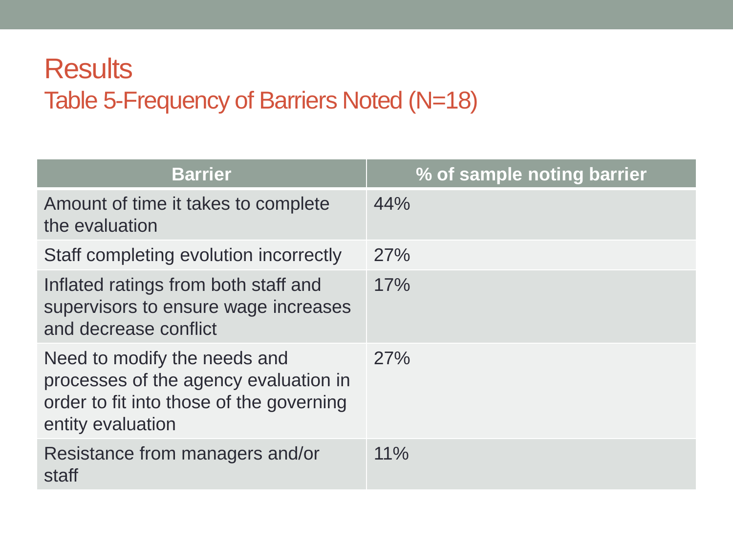#### **Results** Table 5-Frequency of Barriers Noted (N=18)

| <b>Barrier</b>                                                                                                                         | % of sample noting barrier |
|----------------------------------------------------------------------------------------------------------------------------------------|----------------------------|
| Amount of time it takes to complete<br>the evaluation                                                                                  | 44%                        |
| Staff completing evolution incorrectly                                                                                                 | 27%                        |
| Inflated ratings from both staff and<br>supervisors to ensure wage increases<br>and decrease conflict                                  | 17%                        |
| Need to modify the needs and<br>processes of the agency evaluation in<br>order to fit into those of the governing<br>entity evaluation | 27%                        |
| Resistance from managers and/or<br>staff                                                                                               | $11\%$                     |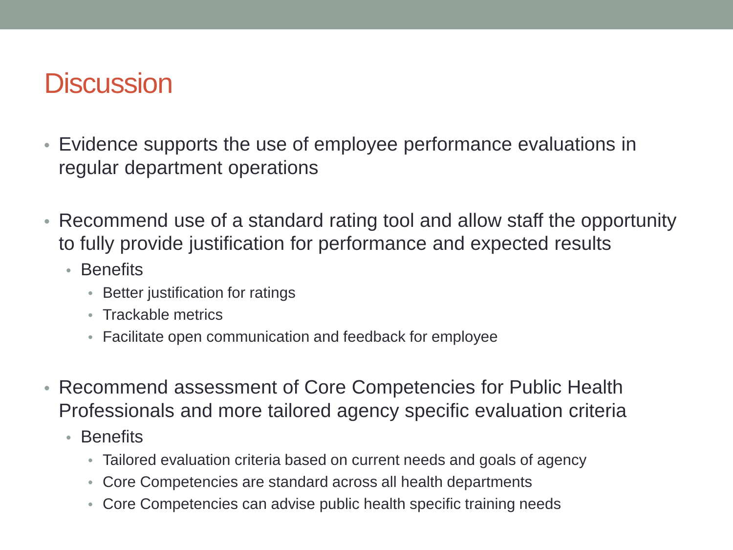## **Discussion**

- Evidence supports the use of employee performance evaluations in regular department operations
- Recommend use of a standard rating tool and allow staff the opportunity to fully provide justification for performance and expected results
	- Benefits
		- Better justification for ratings
		- Trackable metrics
		- Facilitate open communication and feedback for employee
- Recommend assessment of Core Competencies for Public Health Professionals and more tailored agency specific evaluation criteria
	- Benefits
		- Tailored evaluation criteria based on current needs and goals of agency
		- Core Competencies are standard across all health departments
		- Core Competencies can advise public health specific training needs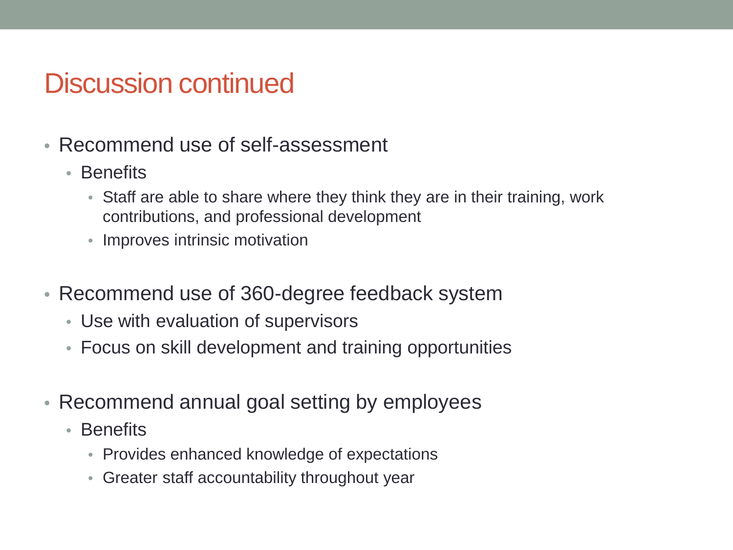#### Discussion continued

- Recommend use of self-assessment
	- Benefits
		- Staff are able to share where they think they are in their training, work contributions, and professional development
		- Improves intrinsic motivation
- Recommend use of 360-degree feedback system
	- Use with evaluation of supervisors
	- Focus on skill development and training opportunities
- Recommend annual goal setting by employees
	- Benefits
		- Provides enhanced knowledge of expectations
		- Greater staff accountability throughout year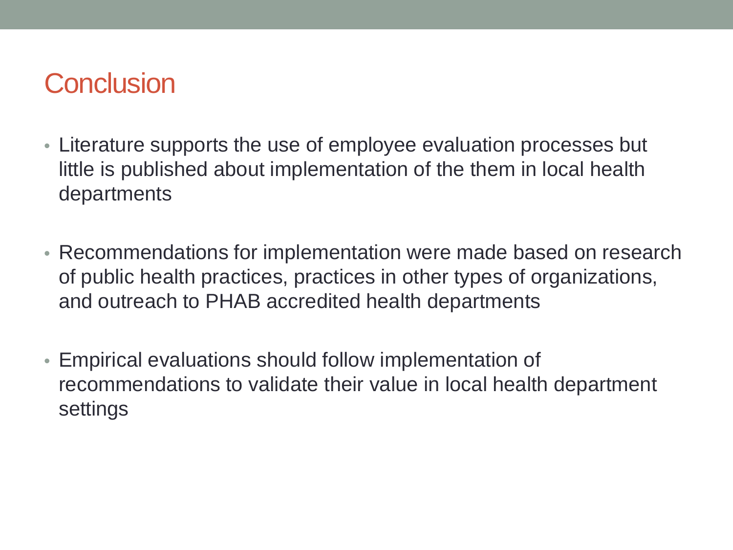### **Conclusion**

- Literature supports the use of employee evaluation processes but little is published about implementation of the them in local health departments
- Recommendations for implementation were made based on research of public health practices, practices in other types of organizations, and outreach to PHAB accredited health departments
- Empirical evaluations should follow implementation of recommendations to validate their value in local health department settings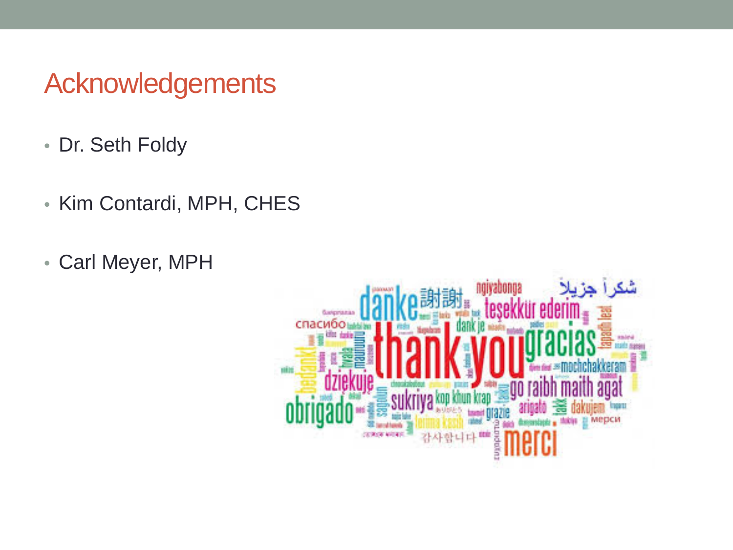### Acknowledgements

- Dr. Seth Foldy
- Kim Contardi, MPH, CHES
- Carl Meyer, MPH

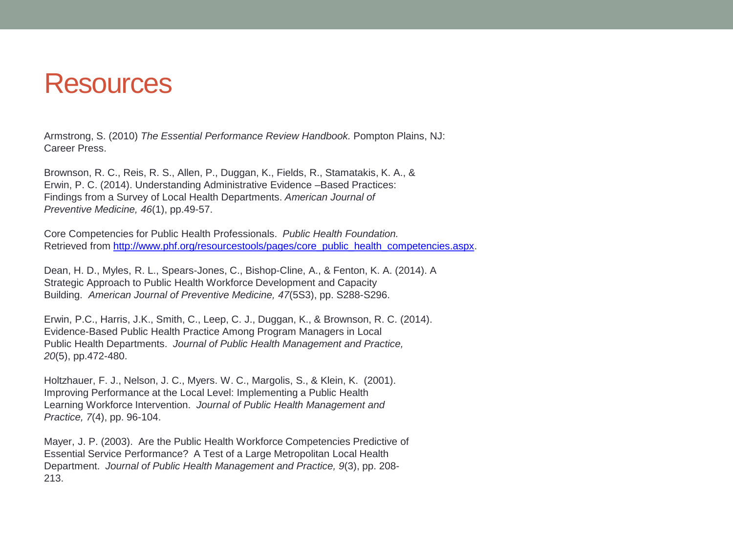#### **Resources**

Armstrong, S. (2010) *The Essential Performance Review Handbook.* Pompton Plains, NJ: Career Press.

Brownson, R. C., Reis, R. S., Allen, P., Duggan, K., Fields, R., Stamatakis, K. A., & Erwin, P. C. (2014). Understanding Administrative Evidence –Based Practices: Findings from a Survey of Local Health Departments. *American Journal of Preventive Medicine, 46*(1), pp.49-57.

Core Competencies for Public Health Professionals. *Public Health Foundation.*  Retrieved from [http://www.phf.org/resourcestools/pages/core\\_public\\_health\\_competencies.aspx.](http://www.phf.org/resourcestools/pages/core_public_health_competencies.aspx)

Dean, H. D., Myles, R. L., Spears-Jones, C., Bishop-Cline, A., & Fenton, K. A. (2014). A Strategic Approach to Public Health Workforce Development and Capacity Building. *American Journal of Preventive Medicine, 47*(5S3), pp. S288-S296.

Erwin, P.C., Harris, J.K., Smith, C., Leep, C. J., Duggan, K., & Brownson, R. C. (2014). Evidence-Based Public Health Practice Among Program Managers in Local Public Health Departments. *Journal of Public Health Management and Practice, 20*(5), pp.472-480.

Holtzhauer, F. J., Nelson, J. C., Myers. W. C., Margolis, S., & Klein, K. (2001). Improving Performance at the Local Level: Implementing a Public Health Learning Workforce Intervention. *Journal of Public Health Management and Practice, 7*(4), pp. 96-104.

Mayer, J. P. (2003). Are the Public Health Workforce Competencies Predictive of Essential Service Performance? A Test of a Large Metropolitan Local Health Department. *Journal of Public Health Management and Practice, 9*(3), pp. 208- 213.